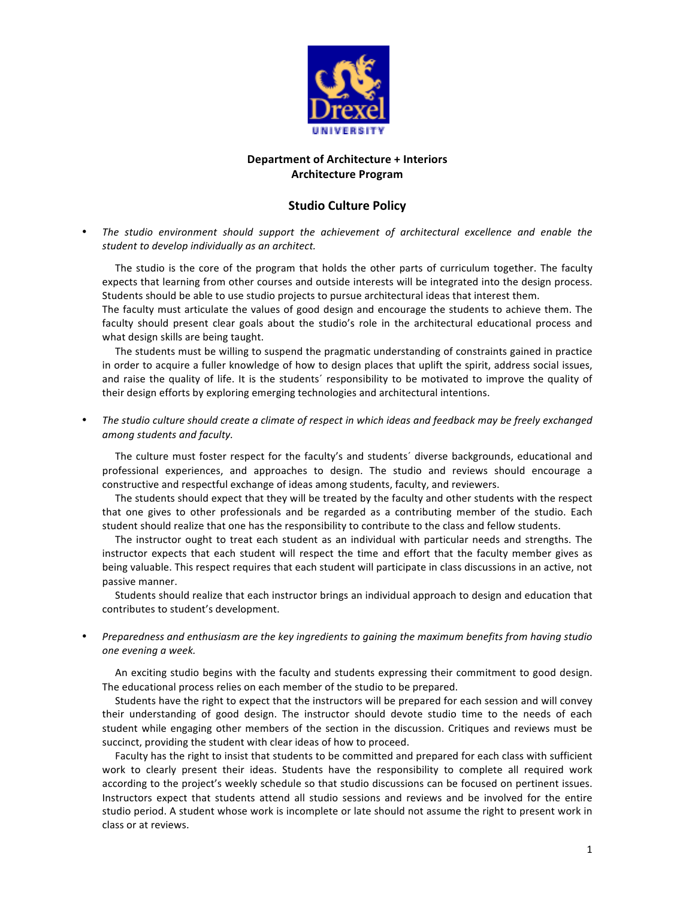

## **Department of Architecture + Interiors Architecture!Program**

## **Studio Culture Policy**

The studio environment should support the achievement of architectural excellence and enable the student to develop individually as an architect.

The studio is the core of the program that holds the other parts of curriculum together. The faculty expects that learning from other courses and outside interests will be integrated into the design process. Students should be able to use studio projects to pursue architectural ideas that interest them.

The faculty must articulate the values of good design and encourage the students to achieve them. The faculty should present clear goals about the studio's role in the architectural educational process and what design skills are being taught.

The students must be willing to suspend the pragmatic understanding of constraints gained in practice in order to acquire a fuller knowledge of how to design places that uplift the spirit, address social issues, and raise the quality of life. It is the students' responsibility to be motivated to improve the quality of their design efforts by exploring emerging technologies and architectural intentions.

The studio culture should create a climate of respect in which ideas and feedback may be freely exchanged *among\$students\$and\$faculty.*

The culture must foster respect for the faculty's and students' diverse backgrounds, educational and professional experiences, and approaches to design. The studio and reviews should encourage a constructive and respectful exchange of ideas among students, faculty, and reviewers.

The students should expect that they will be treated by the faculty and other students with the respect that one gives to other professionals and be regarded as a contributing member of the studio. Each student should realize that one has the responsibility to contribute to the class and fellow students.

The instructor ought to treat each student as an individual with particular needs and strengths. The instructor expects that each student will respect the time and effort that the faculty member gives as being valuable. This respect requires that each student will participate in class discussions in an active, not passive manner.

Students should realize that each instructor brings an individual approach to design and education that contributes to student's development.

Preparedness and enthusiasm are the key ingredients to gaining the maximum benefits from having studio *one\$evening\$a\$week.*

An exciting studio begins with the faculty and students expressing their commitment to good design. The educational process relies on each member of the studio to be prepared.

Students have the right to expect that the instructors will be prepared for each session and will convey their understanding of good design. The instructor should devote studio time to the needs of each student while engaging other members of the section in the discussion. Critiques and reviews must be succinct, providing the student with clear ideas of how to proceed.

Faculty has the right to insist that students to be committed and prepared for each class with sufficient work to clearly present their ideas. Students have the responsibility to complete all required work according to the project's weekly schedule so that studio discussions can be focused on pertinent issues. Instructors expect that students attend all studio sessions and reviews and be involved for the entire studio period. A student whose work is incomplete or late should not assume the right to present work in class or at reviews.